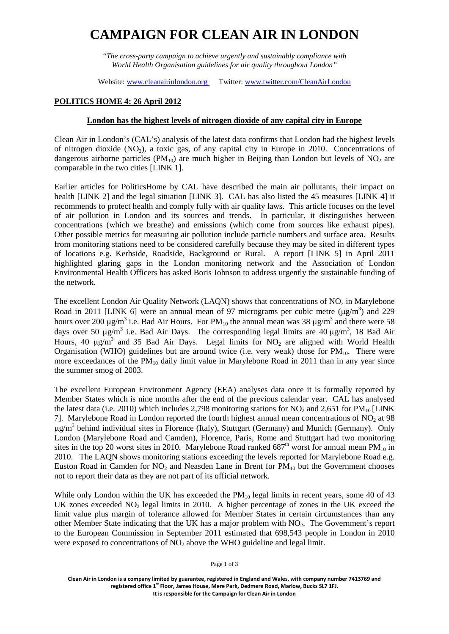## **CAMPAIGN FOR CLEAN AIR IN LONDON**

*"The cross-party campaign to achieve urgently and sustainably compliance with World Health Organisation guidelines for air quality throughout London"*

Website: [www.cleanairinlondon.org](http://www.cleanairinlondon.org/) Twitter: www.twitter.com/CleanAirLondon

#### **POLITICS HOME 4: 26 April 2012**

#### **London has the highest levels of nitrogen dioxide of any capital city in Europe**

Clean Air in London's (CAL's) analysis of the latest data confirms that London had the highest levels of nitrogen dioxide  $(NO<sub>2</sub>)$ , a toxic gas, of any capital city in Europe in 2010. Concentrations of dangerous airborne particles  $(PM_{10})$  are much higher in Beijing than London but levels of NO<sub>2</sub> are comparable in the two cities [LINK 1].

Earlier articles for PoliticsHome by CAL have described the main air pollutants, their impact on health [LINK 2] and the legal situation [LINK 3]. CAL has also listed the 45 measures [LINK 4] it recommends to protect health and comply fully with air quality laws. This article focuses on the level of air pollution in London and its sources and trends. In particular, it distinguishes between concentrations (which we breathe) and emissions (which come from sources like exhaust pipes). Other possible metrics for measuring air pollution include particle numbers and surface area. Results from monitoring stations need to be considered carefully because they may be sited in different types of locations e.g. Kerbside, Roadside, Background or Rural. A report [LINK 5] in April 2011 highlighted glaring gaps in the London monitoring network and the Association of London Environmental Health Officers has asked Boris Johnson to address urgently the sustainable funding of the network.

The excellent London Air Quality Network (LAQN) shows that concentrations of  $NO<sub>2</sub>$  in Marylebone Road in 2011 [LINK 6] were an annual mean of 97 micrograms per cubic metre  $(\mu g/m^3)$  and 229 hours over 200  $\mu$ g/m<sup>3</sup> i.e. Bad Air Hours. For PM<sub>10</sub> the annual mean was 38  $\mu$ g/m<sup>3</sup> and there were 58 days over 50  $\mu$ g/m<sup>3</sup> i.e. Bad Air Days. The corresponding legal limits are 40  $\mu$ g/m<sup>3</sup>, 18 Bad Air Hours, 40  $\mu$ g/m<sup>3</sup> and 35 Bad Air Days. Legal limits for NO<sub>2</sub> are aligned with World Health Organisation (WHO) guidelines but are around twice (i.e. very weak) those for  $PM_{10}$ . There were more exceedances of the  $PM_{10}$  daily limit value in Marylebone Road in 2011 than in any year since the summer smog of 2003.

The excellent European Environment Agency (EEA) analyses data once it is formally reported by Member States which is nine months after the end of the previous calendar year. CAL has analysed the latest data (i.e. 2010) which includes 2,798 monitoring stations for  $NO_2$  and 2,651 for  $PM_{10}$ [LINK] 7]. Marylebone Road in London reported the fourth highest annual mean concentrations of  $NO<sub>2</sub>$  at 98  $\mu$ g/m<sup>3</sup> behind individual sites in Florence (Italy), Stuttgart (Germany) and Munich (Germany). Only London (Marylebone Road and Camden), Florence, Paris, Rome and Stuttgart had two monitoring sites in the top 20 worst sites in 2010. Marylebone Road ranked  $687<sup>th</sup>$  worst for annual mean PM<sub>10</sub> in 2010. The LAQN shows monitoring stations exceeding the levels reported for Marylebone Road e.g. Euston Road in Camden for NO<sub>2</sub> and Neasden Lane in Brent for  $\overline{PM}_{10}$  but the Government chooses not to report their data as they are not part of its official network.

While only London within the UK has exceeded the  $PM_{10}$  legal limits in recent years, some 40 of 43 UK zones exceeded  $NO<sub>2</sub>$  legal limits in 2010. A higher percentage of zones in the UK exceed the limit value plus margin of tolerance allowed for Member States in certain circumstances than any other Member State indicating that the UK has a major problem with NO<sub>2</sub>. The Government's report to the European Commission in September 2011 estimated that 698,543 people in London in 2010 were exposed to concentrations of  $NO<sub>2</sub>$  above the WHO guideline and legal limit.

Page 1 of 3

**Clean Air in London is a company limited by guarantee, registered in England and Wales, with company number 7413769 and registered office 1st Floor, James House, Mere Park, Dedmere Road, Marlow, Bucks SL7 1FJ. It is responsible for the Campaign for Clean Air in London**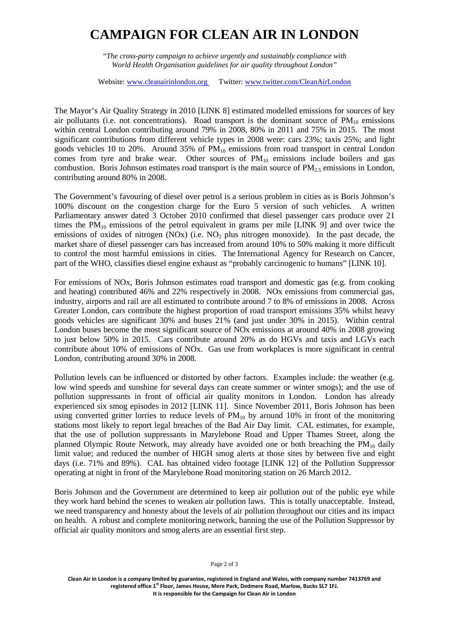### **CAMPAIGN FOR CLEAN AIR IN LONDON**

*"The cross-party campaign to achieve urgently and sustainably compliance with World Health Organisation guidelines for air quality throughout London"*

Website: [www.cleanairinlondon.org](http://www.cleanairinlondon.org/) Twitter: www.twitter.com/CleanAirLondon

The Mayor's Air Quality Strategy in 2010 [LINK 8] estimated modelled emissions for sources of key air pollutants (i.e. not concentrations). Road transport is the dominant source of  $PM_{10}$  emissions within central London contributing around 79% in 2008, 80% in 2011 and 75% in 2015. The most significant contributions from different vehicle types in 2008 were: cars 23%; taxis 25%; and light goods vehicles 10 to 20%. Around 35% of  $PM_{10}$  emissions from road transport in central London comes from tyre and brake wear. Other sources of  $PM_{10}$  emissions include boilers and gas combustion. Boris Johnson estimates road transport is the main source of  $PM_{2.5}$  emissions in London, contributing around 80% in 2008.

The Government's favouring of diesel over petrol is a serious problem in cities as is Boris Johnson's 100% discount on the congestion charge for the Euro 5 version of such vehicles. A written Parliamentary answer dated 3 October 2010 confirmed that diesel passenger cars produce over 21 times the  $PM_{10}$  emissions of the petrol equivalent in grams per mile [LINK 9] and over twice the emissions of oxides of nitrogen  $(NOx)$  (i.e.  $NO<sub>2</sub>$  plus nitrogen monoxide). In the past decade, the market share of diesel passenger cars has increased from around 10% to 50% making it more difficult to control the most harmful emissions in cities. The International Agency for Research on Cancer, part of the WHO, classifies diesel engine exhaust as "probably carcinogenic to humans" [LINK 10].

For emissions of NOx, Boris Johnson estimates road transport and domestic gas (e.g. from cooking and heating) contributed 46% and 22% respectively in 2008. NOx emissions from commercial gas, industry, airports and rail are all estimated to contribute around 7 to 8% of emissions in 2008. Across Greater London, cars contribute the highest proportion of road transport emissions 35% whilst heavy goods vehicles are significant 30% and buses 21% (and just under 30% in 2015). Within central London buses become the most significant source of NOx emissions at around 40% in 2008 growing to just below 50% in 2015. Cars contribute around 20% as do HGVs and taxis and LGVs each contribute about 10% of emissions of NOx. Gas use from workplaces is more significant in central London, contributing around 30% in 2008.

Pollution levels can be influenced or distorted by other factors. Examples include: the weather (e.g. low wind speeds and sunshine for several days can create summer or winter smogs); and the use of pollution suppressants in front of official air quality monitors in London. London has already experienced six smog episodes in 2012 [LINK 11]. Since November 2011, Boris Johnson has been using converted gritter lorries to reduce levels of  $PM_{10}$  by around 10% in front of the monitoring stations most likely to report legal breaches of the Bad Air Day limit. CAL estimates, for example, that the use of pollution suppressants in Marylebone Road and Upper Thames Street, along the planned Olympic Route Network, may already have avoided one or both breaching the  $PM_{10}$  daily limit value; and reduced the number of HIGH smog alerts at those sites by between five and eight days (i.e. 71% and 89%). CAL has obtained video footage [LINK 12] of the Pollution Suppressor operating at night in front of the Marylebone Road monitoring station on 26 March 2012.

Boris Johnson and the Government are determined to keep air pollution out of the public eye while they work hard behind the scenes to weaken air pollution laws. This is totally unacceptable. Instead, we need transparency and honesty about the levels of air pollution throughout our cities and its impact on health. A robust and complete monitoring network, banning the use of the Pollution Suppressor by official air quality monitors and smog alerts are an essential first step.

Page 2 of 3

**Clean Air in London is a company limited by guarantee, registered in England and Wales, with company number 7413769 and registered office 1st Floor, James House, Mere Park, Dedmere Road, Marlow, Bucks SL7 1FJ. It is responsible for the Campaign for Clean Air in London**